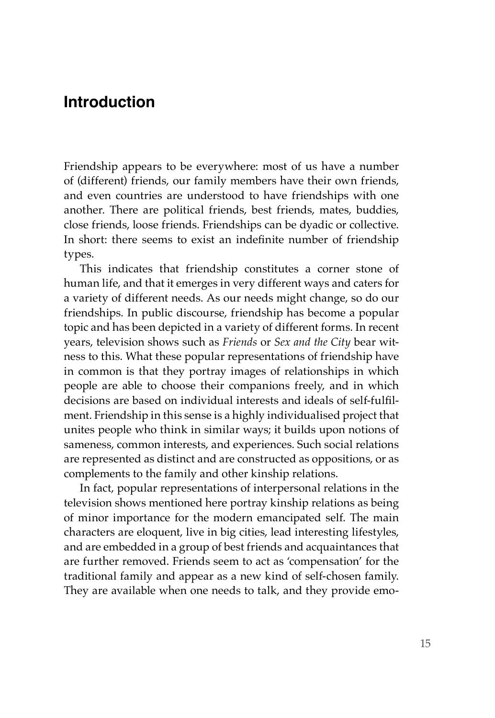# **Introduction**

Friendship appears to be everywhere: most of us have a number of (different) friends, our family members have their own friends, and even countries are understood to have friendships with one another. There are political friends, best friends, mates, buddies, close friends, loose friends. Friendships can be dyadic or collective. In short: there seems to exist an indefinite number of friendship types.

This indicates that friendship constitutes a corner stone of human life, and that it emerges in very different ways and caters for a variety of different needs. As our needs might change, so do our friendships. In public discourse, friendship has become a popular topic and has been depicted in a variety of different forms. In recent years, television shows such as *Friends* or *Sex and the City* bear witness to this. What these popular representations of friendship have in common is that they portray images of relationships in which people are able to choose their companions freely, and in which decisions are based on individual interests and ideals of self-fulfilment. Friendship in this sense is a highly individualised project that unites people who think in similar ways; it builds upon notions of sameness, common interests, and experiences. Such social relations are represented as distinct and are constructed as oppositions, or as complements to the family and other kinship relations.

In fact, popular representations of interpersonal relations in the television shows mentioned here portray kinship relations as being of minor importance for the modern emancipated self. The main characters are eloquent, live in big cities, lead interesting lifestyles, and are embedded in a group of best friends and acquaintances that are further removed. Friends seem to act as 'compensation' for the traditional family and appear as a new kind of self-chosen family. They are available when one needs to talk, and they provide emo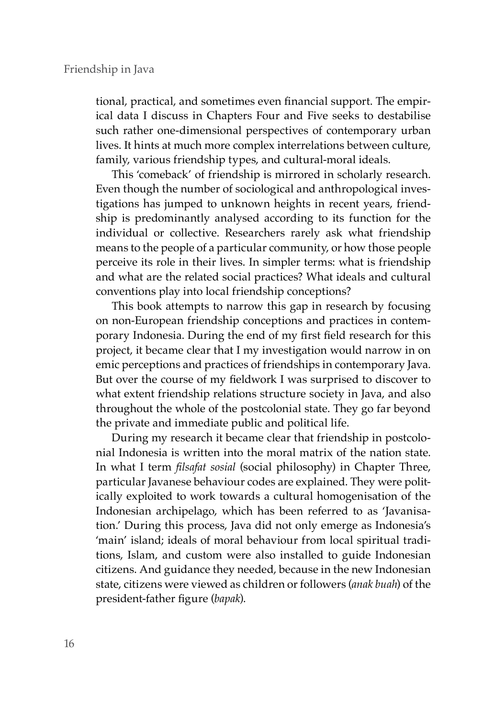tional, practical, and sometimes even financial support. The empirical data I discuss in Chapters Four and Five seeks to destabilise such rather one-dimensional perspectives of contemporary urban lives. It hints at much more complex interrelations between culture, family, various friendship types, and cultural-moral ideals.

This 'comeback' of friendship is mirrored in scholarly research. Even though the number of sociological and anthropological investigations has jumped to unknown heights in recent years, friendship is predominantly analysed according to its function for the individual or collective. Researchers rarely ask what friendship means to the people of a particular community, or how those people perceive its role in their lives. In simpler terms: what is friendship and what are the related social practices? What ideals and cultural conventions play into local friendship conceptions?

This book attempts to narrow this gap in research by focusing on non-European friendship conceptions and practices in contemporary Indonesia. During the end of my first field research for this project, it became clear that I my investigation would narrow in on emic perceptions and practices of friendships in contemporary Java. But over the course of my fieldwork I was surprised to discover to what extent friendship relations structure society in Java, and also throughout the whole of the postcolonial state. They go far beyond the private and immediate public and political life.

During my research it became clear that friendship in postcolonial Indonesia is written into the moral matrix of the nation state. In what I term *filsafat sosial* (social philosophy) in Chapter Three, particular Javanese behaviour codes are explained. They were politically exploited to work towards a cultural homogenisation of the Indonesian archipelago, which has been referred to as 'Javanisation.' During this process, Java did not only emerge as Indonesia's 'main' island; ideals of moral behaviour from local spiritual traditions, Islam, and custom were also installed to guide Indonesian citizens. And guidance they needed, because in the new Indonesian state, citizens were viewed as children or followers (*anak buah*) of the president-father figure (*bapak*).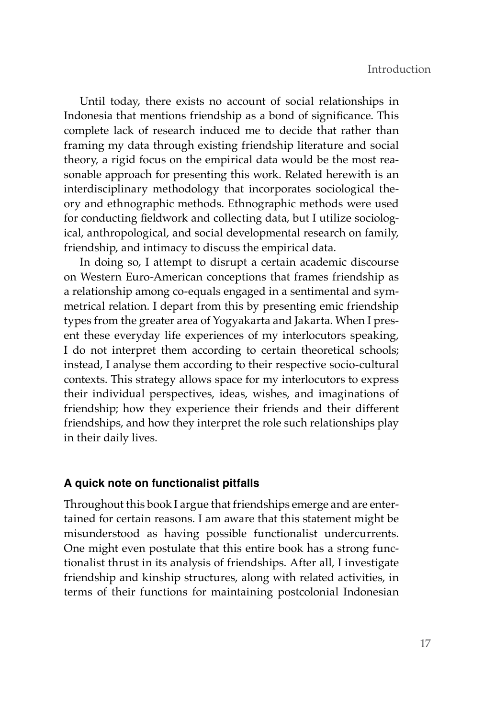Until today, there exists no account of social relationships in Indonesia that mentions friendship as a bond of significance. This complete lack of research induced me to decide that rather than framing my data through existing friendship literature and social theory, a rigid focus on the empirical data would be the most reasonable approach for presenting this work. Related herewith is an interdisciplinary methodology that incorporates sociological theory and ethnographic methods. Ethnographic methods were used for conducting fieldwork and collecting data, but I utilize sociological, anthropological, and social developmental research on family, friendship, and intimacy to discuss the empirical data.

In doing so, I attempt to disrupt a certain academic discourse on Western Euro-American conceptions that frames friendship as a relationship among co-equals engaged in a sentimental and symmetrical relation. I depart from this by presenting emic friendship types from the greater area of Yogyakarta and Jakarta. When I present these everyday life experiences of my interlocutors speaking, I do not interpret them according to certain theoretical schools; instead, I analyse them according to their respective socio-cultural contexts. This strategy allows space for my interlocutors to express their individual perspectives, ideas, wishes, and imaginations of friendship; how they experience their friends and their different friendships, and how they interpret the role such relationships play in their daily lives.

### **A quick note on functionalist pitfalls**

Throughout this book I argue that friendships emerge and are entertained for certain reasons. I am aware that this statement might be misunderstood as having possible functionalist undercurrents. One might even postulate that this entire book has a strong functionalist thrust in its analysis of friendships. After all, I investigate friendship and kinship structures, along with related activities, in terms of their functions for maintaining postcolonial Indonesian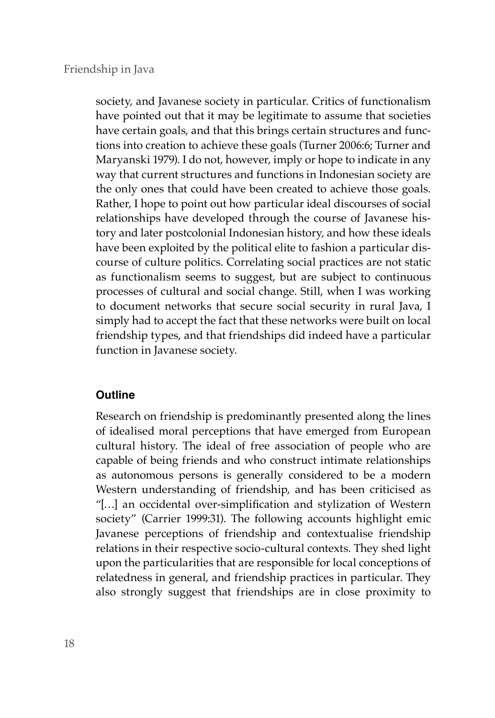#### Friendship in Java

society, and Javanese society in particular. Critics of functionalism have pointed out that it may be legitimate to assume that societies have certain goals, and that this brings certain structures and functions into creation to achieve these goals (Turner 2006:6; Turner and Maryanski 1979). I do not, however, imply or hope to indicate in any way that current structures and functions in Indonesian society are the only ones that could have been created to achieve those goals. Rather, I hope to point out how particular ideal discourses of social relationships have developed through the course of Javanese history and later postcolonial Indonesian history, and how these ideals have been exploited by the political elite to fashion a particular discourse of culture politics. Correlating social practices are not static as functionalism seems to suggest, but are subject to continuous processes of cultural and social change. Still, when I was working to document networks that secure social security in rural Java, I simply had to accept the fact that these networks were built on local friendship types, and that friendships did indeed have a particular function in Javanese society.

## **Outline**

Research on friendship is predominantly presented along the lines of idealised moral perceptions that have emerged from European cultural history. The ideal of free association of people who are capable of being friends and who construct intimate relationships as autonomous persons is generally considered to be a modern Western understanding of friendship, and has been criticised as "[…] an occidental over-simplification and stylization of Western society" (Carrier 1999:31). The following accounts highlight emic Javanese perceptions of friendship and contextualise friendship relations in their respective socio-cultural contexts. They shed light upon the particularities that are responsible for local conceptions of relatedness in general, and friendship practices in particular. They also strongly suggest that friendships are in close proximity to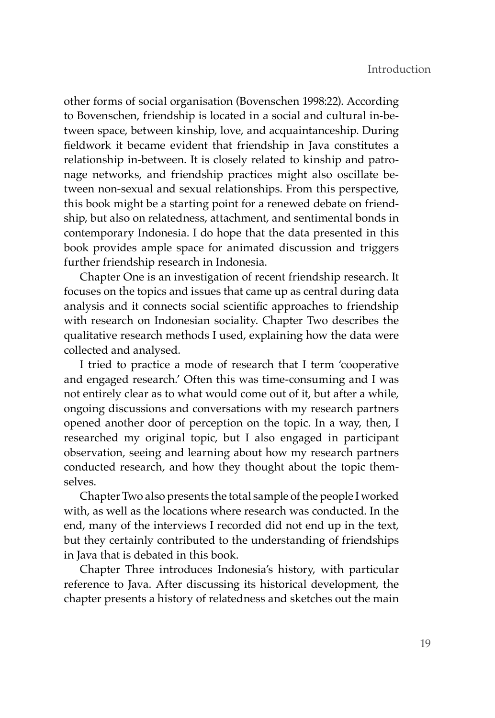other forms of social organisation (Bovenschen 1998:22). According to Bovenschen, friendship is located in a social and cultural in-between space, between kinship, love, and acquaintanceship. During fieldwork it became evident that friendship in Java constitutes a relationship in-between. It is closely related to kinship and patronage networks, and friendship practices might also oscillate between non-sexual and sexual relationships. From this perspective, this book might be a starting point for a renewed debate on friendship, but also on relatedness, attachment, and sentimental bonds in contemporary Indonesia. I do hope that the data presented in this book provides ample space for animated discussion and triggers further friendship research in Indonesia.

Chapter One is an investigation of recent friendship research. It focuses on the topics and issues that came up as central during data analysis and it connects social scientific approaches to friendship with research on Indonesian sociality. Chapter Two describes the qualitative research methods I used, explaining how the data were collected and analysed.

I tried to practice a mode of research that I term 'cooperative and engaged research.' Often this was time-consuming and I was not entirely clear as to what would come out of it, but after a while, ongoing discussions and conversations with my research partners opened another door of perception on the topic. In a way, then, I researched my original topic, but I also engaged in participant observation, seeing and learning about how my research partners conducted research, and how they thought about the topic themselves.

Chapter Two also presents the total sample of the people I worked with, as well as the locations where research was conducted. In the end, many of the interviews I recorded did not end up in the text, but they certainly contributed to the understanding of friendships in Java that is debated in this book.

Chapter Three introduces Indonesia's history, with particular reference to Java. After discussing its historical development, the chapter presents a history of relatedness and sketches out the main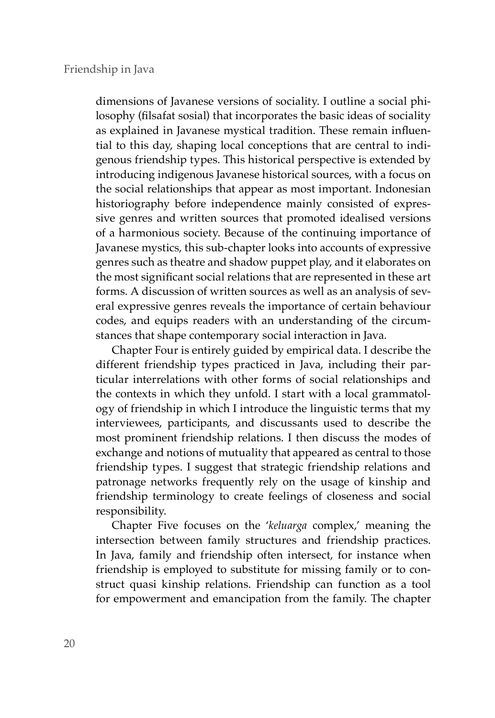#### Friendship in Java

dimensions of Javanese versions of sociality. I outline a social philosophy (filsafat sosial) that incorporates the basic ideas of sociality as explained in Javanese mystical tradition. These remain influential to this day, shaping local conceptions that are central to indigenous friendship types. This historical perspective is extended by introducing indigenous Javanese historical sources, with a focus on the social relationships that appear as most important. Indonesian historiography before independence mainly consisted of expressive genres and written sources that promoted idealised versions of a harmonious society. Because of the continuing importance of Javanese mystics, this sub-chapter looks into accounts of expressive genres such as theatre and shadow puppet play, and it elaborates on the most significant social relations that are represented in these art forms. A discussion of written sources as well as an analysis of several expressive genres reveals the importance of certain behaviour codes, and equips readers with an understanding of the circumstances that shape contemporary social interaction in Java.

Chapter Four is entirely guided by empirical data. I describe the different friendship types practiced in Java, including their particular interrelations with other forms of social relationships and the contexts in which they unfold. I start with a local grammatology of friendship in which I introduce the linguistic terms that my interviewees, participants, and discussants used to describe the most prominent friendship relations. I then discuss the modes of exchange and notions of mutuality that appeared as central to those friendship types. I suggest that strategic friendship relations and patronage networks frequently rely on the usage of kinship and friendship terminology to create feelings of closeness and social responsibility.

Chapter Five focuses on the '*keluarga* complex,' meaning the intersection between family structures and friendship practices. In Java, family and friendship often intersect, for instance when friendship is employed to substitute for missing family or to construct quasi kinship relations. Friendship can function as a tool for empowerment and emancipation from the family. The chapter